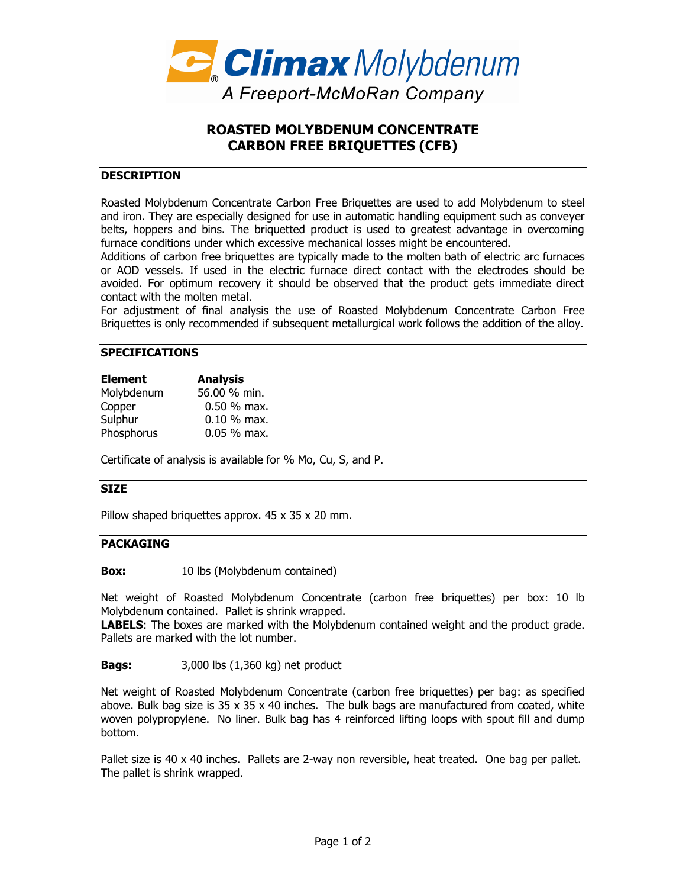

# **ROASTED MOLYBDENUM CONCENTRATE CARBON FREE BRIQUETTES (CFB)**

# **DESCRIPTION**

Roasted Molybdenum Concentrate Carbon Free Briquettes are used to add Molybdenum to steel and iron. They are especially designed for use in automatic handling equipment such as conveyer belts, hoppers and bins. The briquetted product is used to greatest advantage in overcoming furnace conditions under which excessive mechanical losses might be encountered.

Additions of carbon free briquettes are typically made to the molten bath of electric arc furnaces or AOD vessels. If used in the electric furnace direct contact with the electrodes should be avoided. For optimum recovery it should be observed that the product gets immediate direct contact with the molten metal.

For adjustment of final analysis the use of Roasted Molybdenum Concentrate Carbon Free Briquettes is only recommended if subsequent metallurgical work follows the addition of the alloy.

## **SPECIFICATIONS**

| <b>Element</b> | <b>Analysis</b> |
|----------------|-----------------|
| Molybdenum     | 56.00 % min.    |
| Copper         | $0.50\%$ max.   |
| Sulphur        | $0.10 %$ max.   |
| Phosphorus     | $0.05 %$ max.   |

Certificate of analysis is available for % Mo, Cu, S, and P.

#### **SIZE**

Pillow shaped briquettes approx. 45 x 35 x 20 mm.

## **PACKAGING**

**Box:** 10 lbs (Molybdenum contained)

Net weight of Roasted Molybdenum Concentrate (carbon free briquettes) per box: 10 lb Molybdenum contained. Pallet is shrink wrapped.

**LABELS**: The boxes are marked with the Molybdenum contained weight and the product grade. Pallets are marked with the lot number.

**Bags:** 3,000 lbs (1,360 kg) net product

Net weight of Roasted Molybdenum Concentrate (carbon free briquettes) per bag: as specified above. Bulk bag size is  $35 \times 35 \times 40$  inches. The bulk bags are manufactured from coated, white woven polypropylene. No liner. Bulk bag has 4 reinforced lifting loops with spout fill and dump bottom.

Pallet size is 40 x 40 inches. Pallets are 2-way non reversible, heat treated. One bag per pallet. The pallet is shrink wrapped.